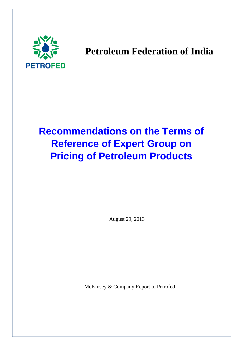

# **Petroleum Federation of India**

# **Recommendations on the Terms of Reference of Expert Group on Pricing of Petroleum Products**

August 29, 2013

McKinsey & Company Report to Petrofed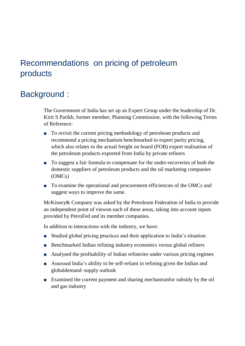## Recommendations on pricing of petroleum products

## Background :

The Government of India has set up an Expert Group under the leadership of Dr. Kirit S Parikh, former member, Planning Commission, with the following Terms of Reference:

- To revisit the current pricing methodology of petroleum products and recommend a pricing mechanism benchmarked to export parity pricing, which also relates to the actual freight on board (FOB) export realisation of the petroleum products exported from India by private refiners
- To suggest a fair formula to compensate for the under-recoveries of both the domestic suppliers of petroleum products and the oil marketing companies (OMCs)
- To examine the operational and procurement efficiencies of the OMCs and suggest ways to improve the same.

McKinsey& Company was asked by the Petroleum Federation of India to provide an independent point of viewon each of these areas, taking into account inputs provided by PetroFed and its member companies.

In addition to interactions with the industry, we have:

- Studied global pricing practices and their application to India's situation
- Benchmarked Indian refining industry economics versus global refiners
- Analysed the profitability of Indian refineries under various pricing regimes
- Assessed India's ability to be self-reliant in refining given the Indian and globaldemand–supply outlook
- Examined the current payment and sharing mechanismfor subsidy by the oil and gas industry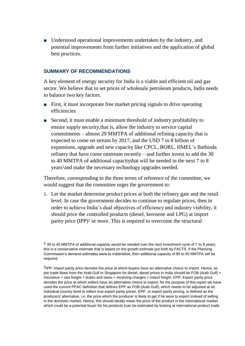■ Understood operational improvements undertaken by the industry, and potential improvements from further initiatives and the application of global best practices.

#### **SUMMARY OF RECOMMENDATIONS**

A key element of energy security for India is a viable and efficient oil and gas sector. We believe that to set prices of wholesale petroleum products, India needs to balance two key factors.

- First, it must incorporate free market pricing signals to drive operating efficiencies
- Second, it must enable a minimum threshold of industry profitability to ensure supply security,that is, allow the industry to service capital commitments – almost 29 MMTPA of additional refining capacity that is expected to come on stream by 2017, and the USD 7 to 8 billion of expansions, upgrade and new capacity like CPCL, BORL, HMEL's Bathinda refinery that have come onstream recently – and further invest to add the 30 to 40 MMTPA of additional capacitythat will be needed in the next 7 to 8 years1and make the necessary technology upgrades needed.

Therefore, corresponding to the three terms of reference of the committee, we would suggest that the committee urges the government to:

1. Let the market determine product prices at both the refinery gate and the retail level. In case the government decides to continue to regulate prices, then in order to achieve India's dual objectives of efficiency and industry viability, it should price the controlled products (diesel, kerosene and LPG) at import parity price (IPP)<sup>2</sup> or more. This is required to overcome the structural

 $1$  30 to 40 MMTPA of additional capacity would be needed over the next investment cycle of 7 to 8 years; this is a conservative estimate that is based on the growth estimate put forth by FACTS. If the Planning Commission's demand estimates were to materialise, then additional capacity of 85 to 95 MMTPA will be required.

<sup>2</sup>IPP: Import parity price denotes the price at which buyers have an alternative choice to import. Hence, as per trade flows from the Arab Gulf to Singapore for diesel, diesel prices in India should be FOB (Arab Gulf) + insurance + sea freight + duties and taxes + receiving charges + inland freight. EPP: Export parity price denotes the price at which sellers have an alternative choice to export; for the purpose of this report we have used the current PPAC definition that defines EPP as FOB (Arab Gulf), which needs to be adjusted at an individual country level to reflect true export parity prices. EPP, or export parity pricing, is defined as the producers' alternative, i.e. the price which the producer is likely to get if he were to export instead of selling in the domestic market. Hence, this should ideally mean the price of the product in the international market which could be a potential buyer for his products (can be estimated by looking at international product trade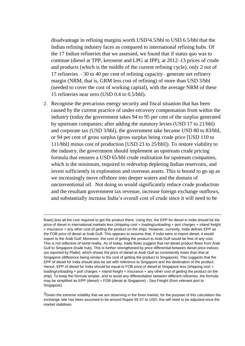disadvantage in refining margins worth USD34.5/bbl to USD 6.5/bbl that the Indian refining industry faces as compared to international refining hubs. Of the 17 Indian refineries that we assessed, we found that if status quo was to continue (diesel at TPP, kerosene and LPG at IPP), at 2012–13 prices of crude and products (which is the middle of the current refining cycle), only 2 out of 17 refineries – 30 to 40 per cent of refining capacity– generate net refinery margin (NRM, that is, GRM less cost of refining) of more than USD 3/bbl (needed to cover the cost of working capital), with the average NRM of these 15 refineries near zero (USD 0.4 to 0.5/bbl).

2. Recognise the precarious energy security and fiscal situation that has been caused by the current practice of under-recovery compensation from within the industry (today the government takes 94 to 95 per cent of the surplus generated by upstream companies; after adding the statutory levies (USD 17 to 21/bbl) and corporate tax (USD 3/bbl), the government take became USD 80 to 83/bbl, or 94 per cent of gross surplus (gross surplus being crude price [USD 110 to 111/bbl] minus cost of production [USD 23 to 25/bbl]). To restore viability to the industry, the government should implement an upstream crude pricing formula that ensures a USD 65/bbl crude realisation for upstream companies, which is the minimum, required to redevelop depleting Indian reservoirs, and invest sufficiently in exploration and overseas assets. This is bound to go up as we increasingly move offshore into deeper waters and the domain of unconventional oil. Not doing so would significantly reduce crude production and the resultant government tax revenue, increase foreign exchange outflows, and substantially increase India's overall cost of crude since it will need to be

 $\overline{a}$ 

flows) less all the cost required to get the product there. Using this, the EPP for diesel in India should be the price of diesel in international markets less (shipping cost + loading/unloading + port charges + inland freight + insurance + any other cost of getting the product on the ship). However, currently, India defines EPP as the FOB price of diesel at Arab Gulf. This appears to assume that, if India were to export diesel, it would export to the Arab Gulf. Moreover, the cost of getting the product to Arab Gulf would be free of any cost. This is not reflective of world reality. As of today, trade flows suggest that net diesel product flows from Arab Gulf to Singapore (trade hub). This is further strengthened by price differential between diesel price indices (as reported by Platts), which shows the price of diesel at Arab Gulf as consistently lower than that at Singapore (difference being similar to the cost of getting the product to Singapore). This suggests that the EPP of diesel for India should also be set with reference to Singapore and the destination of the product. Hence, EPP of diesel for India should be equal to FOB price of diesel at Singapore less (shipping cost + loading/unloading + port charges + inland freight + insurance + any other cost of getting the product on the ship). To keep the formula simpler, and to avoid any differentiation between different refineries, the formula may be simplified as EPP (diesel) = FOB (diesel at Singapore) - Sea Freight (from relevant port to Singapore).

 $3$ Given the extreme volatility that we are observing in the forex market, for the purpose of this calculation the exchange rate has been assumed to be around Rupee 55-57 to USD; this will need to be adjusted once the market stabilises.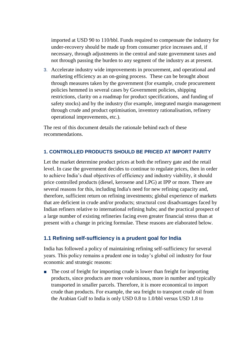imported at USD 90 to 110/bbl. Funds required to compensate the industry for under-recovery should be made up from consumer price increases and, if necessary, through adjustments in the central and state government taxes and not through passing the burden to any segment of the industry as at present.

3. Accelerate industry wide improvements in procurement, and operational and marketing efficiency as an on-going process. These can be brought about through measures taken by the government (for example, crude procurement policies hemmed in several cases by Government policies, shipping restrictions, clarity on a roadmap for product specifications, and funding of safety stocks) and by the industry (for example, integrated margin management through crude and product optimisation, inventory rationalisation, refinery operational improvements, etc.).

The rest of this document details the rationale behind each of these recommendations.

## **1. CONTROLLED PRODUCTS SHOULD BE PRICED AT IMPORT PARITY**

Let the market determine product prices at both the refinery gate and the retail level. In case the government decides to continue to regulate prices, then in order to achieve India's dual objectives of efficiency and industry viability, it should price controlled products (diesel, kerosene and LPG) at IPP or more. There are several reasons for this, including India's need for new refining capacity and, therefore, sufficient return on refining investments; global experience of markets that are deficient in crude and/or products; structural cost disadvantages faced by Indian refiners relative to international refining hubs; and the practical prospect of a large number of existing refineries facing even greater financial stress than at present with a change in pricing formulae. These reasons are elaborated below.

## **1.1 Refining self-sufficiency is a prudent goal for India**

India has followed a policy of maintaining refining self-sufficiency for several years. This policy remains a prudent one in today's global oil industry for four economic and strategic reasons:

■ The cost of freight for importing crude is lower than freight for importing products, since products are more voluminous, more in number and typically transported in smaller parcels. Therefore, it is more economical to import crude than products. For example, the sea freight to transport crude oil from the Arabian Gulf to India is only USD 0.8 to 1.0/bbl versus USD 1.8 to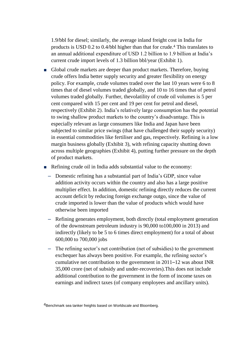1.9/bbl for diesel; similarly, the average inland freight cost in India for products is USD 0.2 to 0.4/bbl higher than that for crude. <sup>4</sup> This translates to an annual additional expenditure of USD 1.2 billion to 1.9 billion at India's current crude import levels of 1.3 billion bbl/year (Exhibit 1).

- Global crude markets are deeper than product markets. Therefore, buying crude offers India better supply security and greater flexibility on energy policy. For example, crude volumes traded over the last 10 years were 6 to 8 times that of diesel volumes traded globally, and 10 to 16 times that of petrol volumes traded globally. Further, thevolatility of crude oil volumes is 5 per cent compared with 15 per cent and 19 per cent for petrol and diesel, respectively (Exhibit 2). India's relatively large consumption has the potential to swing shallow product markets to the country's disadvantage. This is especially relevant as large consumers like India and Japan have been subjected to similar price swings (that have challenged their supply security) in essential commodities like fertiliser and gas, respectively. Refining is a low margin business globally (Exhibit 3), with refining capacity shutting down across multiple geographies (Exhibit 4), putting further pressure on the depth of product markets.
- Refining crude oil in India adds substantial value to the economy:
	- ‒ Domestic refining has a substantial part of India's GDP, since value addition activity occurs within the country and also has a large positive multiplier effect. In addition, domestic refining directly reduces the current account deficit by reducing foreign exchange outgo, since the value of crude imported is lower than the value of products which would have otherwise been imported
	- ‒ Refining generates employment, both directly (total employment generation of the downstream petroleum industry is 90,000 to100,000 in 2013) and indirectly (likely to be 5 to 6 times direct employment) for a total of about 600,000 to 700,000 jobs
	- ‒ The refining sector's net contribution (net of subsidies) to the government exchequer has always been positive. For example, the refining sector's cumulative net contribution to the government in 2011–12 was about INR 35,000 crore (net of subsidy and under-recoveries).This does not include additional contribution to the government in the form of income taxes on earnings and indirect taxes (of company employees and ancillary units).

4Benchmark sea tanker freights based on Worldscale and Bloomberg.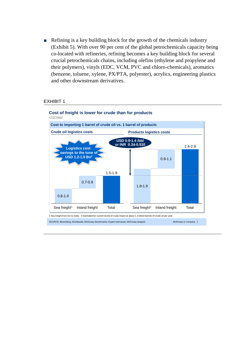■ Refining is a key building block for the growth of the chemicals industry (Exhibit 5). With over 90 per cent of the global petrochemicals capacity being co-located with refineries, refining becomes a key building block for several crucial petrochemicals chains, including olefins (ethylene and propylene and their polymers), vinyls (EDC, VCM, PVC and chloro-chemicals), aromatics (benzene, toluene, xylene, PX/PTA, polyester), acrylics, engineering plastics and other downstream derivatives.

#### EXHIBIT 1

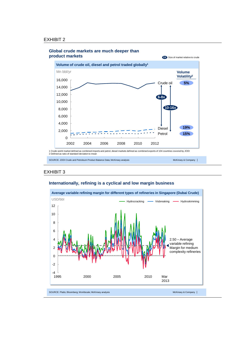

#### **Global crude markets are much deeper than**

#### EXHIBIT 3





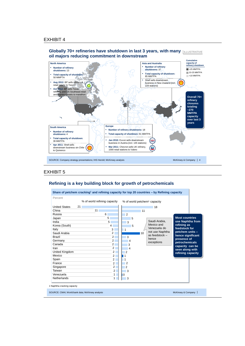

**Globally 70+ refineries have shutdown in last 3 years, with many ILLLUSTRATIVE oil majors reducing commitment in downstream**

#### EXHIBIT 5

#### **Refining is a key building block for growth of petrochemicals**

|                                                                                                                                                                                                                                                          | % of world refining capacity                                                                                                                                                                             | % of world petchem <sup>1</sup> capacity                                                                                                                                                                                                                                                 |                                                                                                                                                                                 |
|----------------------------------------------------------------------------------------------------------------------------------------------------------------------------------------------------------------------------------------------------------|----------------------------------------------------------------------------------------------------------------------------------------------------------------------------------------------------------|------------------------------------------------------------------------------------------------------------------------------------------------------------------------------------------------------------------------------------------------------------------------------------------|---------------------------------------------------------------------------------------------------------------------------------------------------------------------------------|
| 21<br><b>United States</b><br>11<br>China<br>Russia<br>Japan<br>India<br>Korea (South)<br>Italy<br>Saudi Arabia<br>Brazil<br>Germany<br>Canada<br>Iran<br>United Kingdom<br>Mexico<br>Spain<br>France<br>Singapore<br>Taiwan<br>Venezuela<br>Netherlands | 6<br>5<br>5<br>4<br>3<br>$\overline{2}$<br>2<br>$\overline{2}$<br>$\overline{2}$<br>$\overline{2}$<br>$\overline{2}$<br>$\overline{2}$<br>2<br>$\overline{2}$<br>2 <sup>1</sup><br>$2^{\circ}$<br>1<br>1 | 18<br>11<br>$\overline{2}$<br>5<br>Saudi Arabia,<br>3<br>Mexico and<br>refining as<br>5<br>Venezuela do<br>$\mathbf{1}$<br>not use Naphtha<br>10<br>as feedstock -<br>3<br>presence of<br>hence<br>4<br>exceptions<br>3<br>4<br>$\overline{2}$<br>1<br>1<br>2<br>2<br>3<br>$\Omega$<br>3 | <b>Most countries</b><br>use Naphtha from<br>feedstock for<br>petchem units -<br>hence significant<br>petrochemicals<br>capacity can be<br>seen along with<br>refining capacity |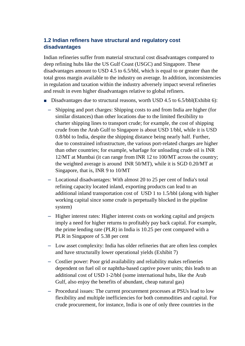## **1.2 Indian refiners have structural and regulatory cost disadvantages**

Indian refineries suffer from material structural cost disadvantages compared to deep refining hubs like the US Gulf Coast (USGC) and Singapore. These disadvantages amount to USD 4.5 to 6.5/bbl, which is equal to or greater than the total gross margin available to the industry on average. In addition, inconsistencies in regulation and taxation within the industry adversely impact several refineries and result in even higher disadvantages relative to global refiners.

- Disadvantages due to structural reasons, worth USD 4.5 to 6.5/bbl(Exhibit 6):
	- ‒ Shipping and port charges: Shipping costs to and from India are higher (for similar distances) than other locations due to the limited flexibility to charter shipping lines to transport crude; for example, the cost of shipping crude from the Arab Gulf to Singapore is about USD 1/bbl, while it is USD 0.8/bbl to India, despite the shipping distance being nearly half. Further, due to constrained infrastructure, the various port-related charges are higher than other countries; for example, wharfage for unloading crude oil is INR 12/MT at Mumbai (it can range from INR 12 to 100/MT across the country; the weighted average is around INR 50/MT), while it is SGD 0.20/MT at Singapore, that is, INR 9 to 10/MT
	- ‒ Locational disadvantages: With almost 20 to 25 per cent of India's total refining capacity located inland, exporting products can lead to an additional inland transportation cost of USD 1 to 1.5/bbl (along with higher working capital since some crude is perpetually blocked in the pipeline system)
	- ‒ Higher interest rates: Higher interest costs on working capital and projects imply a need for higher returns to profitably pay back capital. For example, the prime lending rate (PLR) in India is 10.25 per cent compared with a PLR in Singapore of 5.38 per cent
	- ‒ Low asset complexity: India has older refineries that are often less complex and have structurally lower operational yields (Exhibit 7)
	- ‒ Costlier power: Poor grid availability and reliability makes refineries dependent on fuel oil or naphtha-based captive power units; this leads to an additional cost of USD 1-2/bbl (some international hubs, like the Arab Gulf, also enjoy the benefits of abundant, cheap natural gas)
	- ‒ Procedural issues: The current procurement processes at PSUs lead to low flexibility and multiple inefficiencies for both commodities and capital. For crude procurement, for instance, India is one of only three countries in the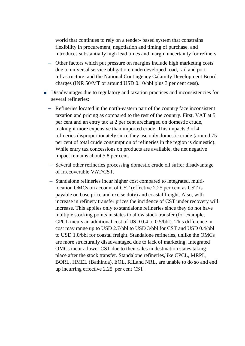world that continues to rely on a tender- based system that constrains flexibility in procurement, negotiation and timing of purchase, and introduces substantially high lead times and margin uncertainty for refiners

- ‒ Other factors which put pressure on margins include high marketing costs due to universal service obligation; underdeveloped road, rail and port infrastructure; and the National Contingency Calamity Development Board charges (INR 50/MT or around USD 0.10/bbl plus 3 per cent cess).
- Disadvantages due to regulatory and taxation practices and inconsistencies for several refineries:
	- ‒ Refineries located in the north-eastern part of the country face inconsistent taxation and pricing as compared to the rest of the country. First, VAT at 5 per cent and an entry tax at 2 per cent arecharged on domestic crude, making it more expensive than imported crude. This impacts 3 of 4 refineries disproportionately since they use only domestic crude (around 75 per cent of total crude consumption of refineries in the region is domestic). While entry tax concessions on products are available, the net negative impact remains about 5.8 per cent.
	- ‒ Several other refineries processing domestic crude oil suffer disadvantage of irrecoverable VAT/CST.
	- ‒ Standalone refineries incur higher cost compared to integrated, multilocation OMCs on account of CST (effective 2.25 per cent as CST is payable on base price and excise duty) and coastal freight. Also, with increase in refinery transfer prices the incidence of CST under recovery will increase. This applies only to standalone refineries since they do not have multiple stocking points in states to allow stock transfer (for example, CPCL incurs an additional cost of USD 0.4 to 0.5/bbl). This difference in cost may range up to USD 2.7/bbl to USD 3/bbl for CST and USD 0.4/bbl to USD 1.0/bbl for coastal freight. Standalone refineries, unlike the OMCs are more structurally disadvantaged due to lack of marketing. Integrated OMCs incur a lower CST due to their sales in destination states taking place after the stock transfer. Standalone refineries,like CPCL, MRPL, BORL, HMEL (Bathinda), EOL, RILand NRL, are unable to do so and end up incurring effective 2.25 per cent CST.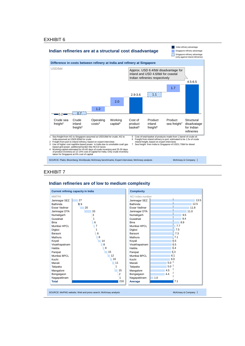

#### EXHIBIT 7

#### **Indian refineries are of low to medium complexity**



McKinsey & Company |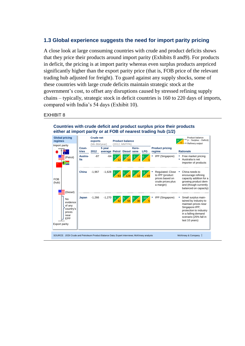## **1.3 Global experience suggests the need for import parity pricing**

A close look at large consuming countries with crude and product deficits shows that they price their products around import parity (Exhibits 8 and9). For products in deficit, the pricing is at import parity whereas even surplus products arepriced significantly higher than the export parity price (that is, FOB price of the relevant trading hub adjusted for freight). To guard against any supply shocks, some of these countries with large crude deficits maintain strategic stock at the government's cost, to offset any disruptions caused by stressed refining supply chains – typically, strategic stock in deficit countries is 160 to 220 days of imports, compared with India's 54 days (Exhibit 10).

#### EXHIBIT 8

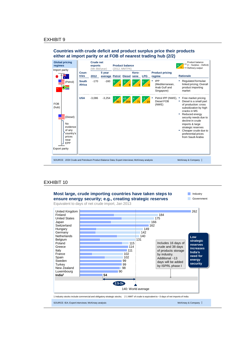

#### EXHIBIT 10



#### **Countries with crude deficit and product surplus price their products either at import parity or at FOB of nearest trading hub (2/2)**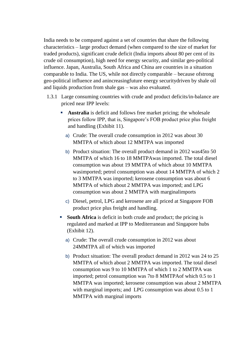India needs to be compared against a set of countries that share the following characteristics – large product demand (when compared to the size of market for traded products), significant crude deficit (India imports about 80 per cent of its crude oil consumption), high need for energy security, and similar geo-political influence. Japan, Australia, South Africa and China are countries in a situation comparable to India. The US, while not directly comparable – because ofstrong geo-political influence and anincreasingfuture energy securitydriven by shale oil and liquids production from shale gas – was also evaluated.

- 1.3.1 Large consuming countries with crude and product deficits/in-balance are priced near IPP levels:
	- **Australia** is deficit and follows free market pricing; the wholesale prices follow IPP, that is, Singapore's FOB product price plus freight and handling (Exhibit 11).
		- a) Crude: The overall crude consumption in 2012 was about 30 MMTPA of which about 12 MMTPA was imported
		- b) Product situation: The overall product demand in 2012 was45to 50 MMTPA of which 16 to 18 MMTPAwas imported. The total diesel consumption was about 19 MMTPA of which about 10 MMTPA wasimported; petrol consumption was about 14 MMTPA of which 2 to 3 MMTPA was imported; kerosene consumption was about 6 MMTPA of which about 2 MMTPA was imported; and LPG consumption was about 2 MMTPA with marginalimports
		- c) Diesel, petrol, LPG and kerosene are all priced at Singapore FOB product price plus freight and handling.
	- **South Africa** is deficit in both crude and product; the pricing is regulated and marked at IPP to Mediterranean and Singapore hubs (Exhibit 12).
		- a) Crude: The overall crude consumption in 2012 was about 24MMTPA all of which was imported
		- b) Product situation: The overall product demand in 2012 was 24 to 25 MMTPA of which about 2 MMTPA was imported. The total diesel consumption was 9 to 10 MMTPA of which 1 to 2 MMTPA was imported; petrol consumption was 7to 8 MMTPAof which 0.5 to 1 MMTPA was imported; kerosene consumption was about 2 MMTPA with marginal imports; and LPG consumption was about 0.5 to 1 MMTPA with marginal imports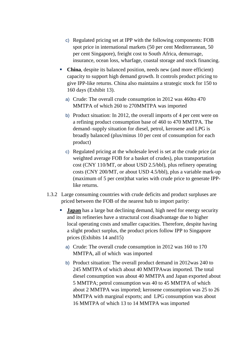- c) Regulated pricing set at IPP with the following components: FOB spot price in international markets (50 per cent Mediterranean, 50 per cent Singapore), freight cost to South Africa, demurrage, insurance, ocean loss, wharfage, coastal storage and stock financing.
- **China**, despite its balanced position, needs new (and more efficient) capacity to support high demand growth. It controls product pricing to give IPP-like returns. China also maintains a strategic stock for 150 to 160 days (Exhibit 13).
	- a) Crude: The overall crude consumption in 2012 was 460to 470 MMTPA of which 260 to 270MMTPA was imported
	- b) Product situation: In 2012, the overall imports of 4 per cent were on a refining product consumption base of 460 to 470 MMTPA. The demand–supply situation for diesel, petrol, kerosene and LPG is broadly balanced (plus/minus 10 per cent of consumption for each product)
	- c) Regulated pricing at the wholesale level is set at the crude price (at weighted average FOB for a basket of crudes), plus transportation cost (CNY 110/MT, or about USD 2.5/bbl), plus refinery operating costs (CNY 200/MT, or about USD 4.5/bbl), plus a variable mark-up (maximum of 5 per cent)that varies with crude price to generate IPPlike returns.
- 1.3.2 Large consuming countries with crude deficits and product surpluses are priced between the FOB of the nearest hub to import parity:
	- **Japan** has a large but declining demand, high need for energy security and its refineries have a structural cost disadvantage due to higher local operating costs and smaller capacities. Therefore, despite having a slight product surplus, the product prices follow IPP to Singapore prices (Exhibits 14 and15)
		- a) Crude: The overall crude consumption in 2012 was 160 to 170 MMTPA, all of which was imported
		- b) Product situation: The overall product demand in 2012was 240 to 245 MMTPA of which about 40 MMTPAwas imported. The total diesel consumption was about 40 MMTPA and Japan exported about 5 MMTPA; petrol consumption was 40 to 45 MMTPA of which about 2 MMTPA was imported; kerosene consumption was 25 to 26 MMTPA with marginal exports; and LPG consumption was about 16 MMTPA of which 13 to 14 MMTPA was imported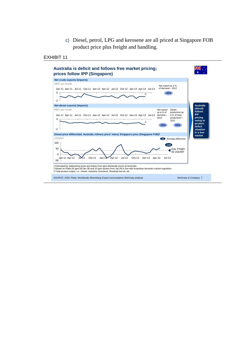c) Diesel, petrol, LPG and kerosene are all priced at Singapore FOB product price plus freight and handling.



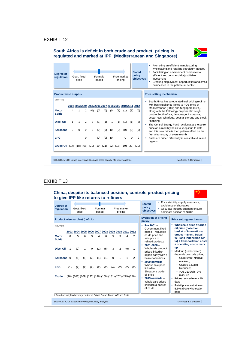#### **South Africa is deficit in both crude and product; pricing is regulated and marked at IPP (Mediterranean and Singapore)**



| Degree of<br>regulation                                                  |          | Govt. fixed<br>price |          |          | Formula<br>based |     |     | pricing | Free market |          | <b>Stated</b><br>policy<br>objectives                  | Promoting an efficient manufacturing,<br>٠<br>wholesaling and retailing petroleum industry<br>Facilitating an environment conducive to<br>٠<br>efficient and commercially justifiable<br>investment<br>Creating employment opportunities and small<br>businesses in the petroleum sector |
|--------------------------------------------------------------------------|----------|----------------------|----------|----------|------------------|-----|-----|---------|-------------|----------|--------------------------------------------------------|------------------------------------------------------------------------------------------------------------------------------------------------------------------------------------------------------------------------------------------------------------------------------------------|
| <b>Product wise surplus</b>                                              |          |                      |          |          |                  |     |     |         |             |          |                                                        | <b>Price setting mechanism</b>                                                                                                                                                                                                                                                           |
| <b>MMTPA</b>                                                             |          |                      |          |          |                  |     |     |         |             |          | 2002 2003 2004 2005 2006 2007 2008 2009 2010 2011 2012 | South Africa has a regulated fuel pricing regime<br>٠<br>with basic fuel price linked to FOB price at<br>Mediterranean (50%) and Singapore (50%),                                                                                                                                        |
| <b>Motor</b><br><b>Spirit</b>                                            | 4        | 1                    | 1        | (0)      | (0)              | (0) | (0) | (1)     | (1)         | (1)      | (0)                                                    | along with the following components: freight<br>cost to South Africa, demurrage, insurance,<br>ocean loss, wharfage, coastal storage and stock                                                                                                                                           |
| <b>Disel Oil</b>                                                         |          |                      | 2        | 2        | (1)              | (1) |     | (1)     | (1)         | (1)      | (2)                                                    | financing<br>The Central Energy Fund recalculates the petrol                                                                                                                                                                                                                             |
| <b>Kerosene</b>                                                          | $\Omega$ | 0                    | $\Omega$ | $\Omega$ | (0)              | (0) | (0) | (0)     | (0)         | (0)      | (0)                                                    | price on a monthly basis to keep it up to date<br>and this new price is then put into effect on the<br>first Wednesday of every month                                                                                                                                                    |
| <b>LPG</b>                                                               |          |                      |          |          | (0)              | (0) | (0) |         | $\Omega$    | $\Omega$ | $\Omega$                                               | Fuels are priced differently in coastal and inland<br>regions                                                                                                                                                                                                                            |
| Crude Oil (17) (18) (68) (21) (19) (21) (22) (18) (19) (20) (21)         |          |                      |          |          |                  |     |     |         |             |          |                                                        |                                                                                                                                                                                                                                                                                          |
| SOURCE: JODI; Expert interviews; Web and press search; McKinsey analysis |          |                      |          |          |                  |     |     |         |             |          |                                                        | McKinsey & Company                                                                                                                                                                                                                                                                       |

### EXHIBIT 13

#### **China, despite its balanced position, controls product pricing to give IPP like returns to refiners**



| Degree of<br>regulation                                                                                                                                                      |          | Govt. fixed<br>price                                                                                                                      |                                 |                             | Formula<br>based       |                               |                                        | Free market<br>pricing |                      |                    | Price stability, supply assurance,<br><b>Stated</b><br>avoidance of shortages<br>policy<br>Oil & gas industry support: ensure<br>٠.<br>objectives<br>dominant position of NOCs                                                                                                                                                                                                                                                                                                                                                                                                                                                                                                                                                                                                                                                                                                         |
|------------------------------------------------------------------------------------------------------------------------------------------------------------------------------|----------|-------------------------------------------------------------------------------------------------------------------------------------------|---------------------------------|-----------------------------|------------------------|-------------------------------|----------------------------------------|------------------------|----------------------|--------------------|----------------------------------------------------------------------------------------------------------------------------------------------------------------------------------------------------------------------------------------------------------------------------------------------------------------------------------------------------------------------------------------------------------------------------------------------------------------------------------------------------------------------------------------------------------------------------------------------------------------------------------------------------------------------------------------------------------------------------------------------------------------------------------------------------------------------------------------------------------------------------------------|
| <b>Product wise surplus/ (deficit)</b>                                                                                                                                       |          |                                                                                                                                           |                                 |                             |                        |                               |                                        |                        |                      |                    | <b>Evolution of pricing</b><br><b>Price setting mechanism</b><br>policy                                                                                                                                                                                                                                                                                                                                                                                                                                                                                                                                                                                                                                                                                                                                                                                                                |
| <b>MMTPA</b><br><b>Motor</b><br><b>Spirit</b><br>Disel Oil 1<br>Kerosene 0<br><b>LPG</b><br>Crude<br>1 Based on weighted average basket of Dubai, Oman, Brent, WTI and Cinta | 8<br>(1) | 2003 2004 2005 2006 2007 2008 2009 2010 2011 2012<br>5<br>(2)<br>(1)<br>(2)<br>(76) (107) (109) (127) (146) (160) (181) (202) (229) (246) | 6<br>$\mathbf{1}$<br>(1)<br>(2) | 3<br>$\Omega$<br>(2)<br>(2) | 4<br>(1)<br>(1)<br>(2) | $\Omega$<br>(5)<br>(1)<br>(2) | 5<br>3 <sup>1</sup><br>$\Omega$<br>(4) | 3<br>2<br>1<br>(2)     | 4<br>(0)<br>1<br>(2) | 2<br>1<br>2<br>(2) | • Wholesale price = Crude<br>• Pre 2001 -<br>oil price (based on<br>Government fixed<br>basket of international<br>prices - regulates<br>crudes - Brent, Dubai,<br>crude price and<br><b>WTI and Indonesian Cin</b><br>sets price of<br>ta) + transportation costs<br>refined products<br>+ operating cost + mark<br>$-2001 - 2008 -$<br><b>up</b><br>Wholesale product<br>Mark up (undisclosed)<br>prices linked to<br>depends on crude price;<br>import parity with a<br>- USD80/bbl: Normal<br>basket of indices<br>mark-up,<br>$2009$ onwards $-$<br>٠<br>$-$ USD80-130/bbl.<br>Whose sale price<br>Reduced:<br>linked to<br>Singapore crude<br>$-$ >USD130/bbl; 0%<br>oil price<br>mark up<br>$-2013$ onwards $-$<br>• Prices revised every 10<br>Whole sale prices<br>days<br>linked to a basket<br>" Retail prices set at least<br>of $crude1$<br>5.5% above wholesale<br>price |
|                                                                                                                                                                              |          |                                                                                                                                           |                                 |                             |                        |                               |                                        |                        |                      |                    |                                                                                                                                                                                                                                                                                                                                                                                                                                                                                                                                                                                                                                                                                                                                                                                                                                                                                        |
| SOURCE: JODI; Expert interviews; McKinsey analysis                                                                                                                           |          |                                                                                                                                           |                                 |                             |                        |                               |                                        |                        |                      |                    | McKinsey & Company                                                                                                                                                                                                                                                                                                                                                                                                                                                                                                                                                                                                                                                                                                                                                                                                                                                                     |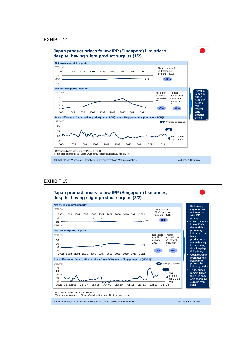

#### EXHIBIT 15

#### **Japan product prices follow IPP (Singapore) like prices, despite having slight product surplus (2/2)**



SOURCE: Platts; Worldscale; Bloomberg; Expert conversations; McKinsey analysis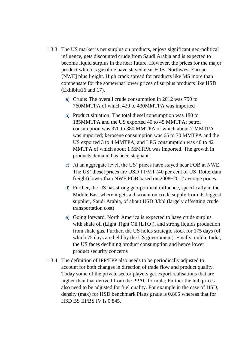- 1.3.3 The US market is net surplus on products, enjoys significant geo-political influence, gets discounted crude from Saudi Arabia and is expected to become liquid surplus in the near future. However, the prices for the major product which is gasoline have stayed near FOB Northwest Europe [NWE] plus freight. High crack spread for products like MS more than compensate for the somewhat lower prices of surplus products like HSD (Exhibits16 and 17).
	- a) Crude: The overall crude consumption in 2012 was 750 to 760MMTPA of which 420 to 430MMTPA was imported
	- b) Product situation: The total diesel consumption was 180 to 185MMTPA and the US exported 40 to 45 MMTPA; petrol consumption was 370 to 380 MMTPA of which about 7 MMTPA was imported; kerosene consumption was 65 to 70 MMTPA and the US exported 3 to 4 MMTPA; and LPG consumption was 40 to 42 MMTPA of which about 1 MMTPA was imported. The growth in products demand has been stagnant
	- c) At an aggregate level, the US' prices have stayed near FOB at NWE. The US' diesel prices are USD 11/MT (40 per cent of US–Rotterdam freight) lower than NWE FOB based on 2008–2012 average prices.
	- d) Further, the US has strong geo-political influence, specifically in the Middle East where it gets a discount on crude supply from its biggest supplier, Saudi Arabia, of about USD 3/bbl (largely offsetting crude transportation cost)
	- e) Going forward, North America is expected to have crude surplus with shale oil (Light Tight Oil [LTO]), and strong liquids production from shale gas. Further, the US holds strategic stock for 175 days (of which 75 days are held by the US government). Finally, unlike India, the US faces declining product consumption and hence lower product security concerns
- 1.3.4 The definition of IPP/EPP also needs to be periodically adjusted to account for both changes in direction of trade flow and product quality. Today some of the private sector players get export realisations that are higher than that derived from the PPAC formula; Further the hub prices also need to be adjusted for fuel quality. For example in the case of HSD, density (max) for HSD benchmark Platts grade is 0.865 whereas that for HSD BS III/BS IV is 0.845.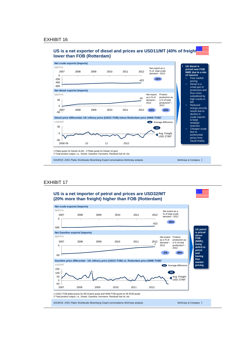



#### EXHIBIT 17

-50



1 USGC FOB platts prices for 89 Octane quote and NWE FOB quote for 95 RON quote 2 Total product output, i.e., Diesel, Gasoline, Kerosene, Residual fuel oil, etc.

SOURCE: JODI; Platts; Worldscale; Bloomberg; Expert conversations; McKinsey analysis

McKinsey & Company |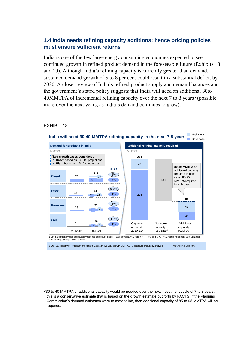## **1.4 India needs refining capacity additions; hence pricing policies must ensure sufficient returns**

India is one of the few large energy consuming economies expected to see continued growth in refined product demand in the foreseeable future (Exhibits 18 and 19). Although India's refining capacity is currently greater than demand, sustained demand growth of 5 to 8 per cent could result in a substantial deficit by 2020. A closer review of India's refined product supply and demand balances and the government's stated policy suggests that India will need an additional 30to 40MMTPA of incremental refining capacity over the next 7 to 8 years<sup>5</sup> (possible more over the next years, as India's demand continues to grow).

#### EXHIBIT 18



 $530$  to 40 MMTPA of additional capacity would be needed over the next investment cycle of 7 to 8 years; this is a conservative estimate that is based on the growth estimate put forth by FACTS. If the Planning Commission's demand estimates were to materialise, then additional capacity of 85 to 95 MMTPA will be required.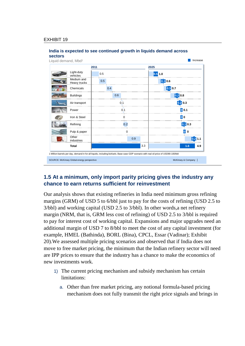

### **India is expected to see continued growth in liquids demand across**

## **1.5 At a minimum, only import parity pricing gives the industry any chance to earn returns sufficient for reinvestment**

Our analysis shows that existing refineries in India need minimum gross refining margins (GRM) of USD 5 to 6/bbl just to pay for the costs of refining (USD 2.5 to 3/bbl) and working capital (USD 2.5 to 3/bbl). In other words,a net refinery margin (NRM, that is, GRM less cost of refining) of USD 2.5 to 3/bbl is required to pay for interest cost of working capital. Expansions and major upgrades need an additional margin of USD 7 to 8/bbl to meet the cost of any capital investment (for example, HMEL (Bathinda), BORL (Bina), CPCL, Essar (Vadinar); Exhibit 20).We assessed multiple pricing scenarios and observed that if India does not move to free market pricing, the minimum that the Indian refinery sector will need are IPP prices to ensure that the industry has a chance to make the economics of new investments work.

- 1) The current pricing mechanism and subsidy mechanism has certain limitations:
	- a. Other than free market pricing, any notional formula-based pricing mechanism does not fully transmit the right price signals and brings in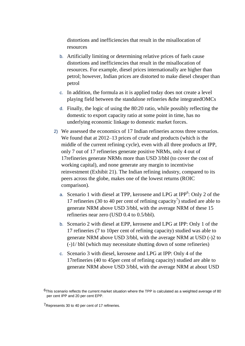distortions and inefficiencies that result in the misallocation of resources

- b. Artificially limiting or determining relative prices of fuels cause distortions and inefficiencies that result in the misallocation of resources. For example, diesel prices internationally are higher than petrol; however, Indian prices are distorted to make diesel cheaper than petrol
- c. In addition, the formula as it is applied today does not create a level playing field between the standalone refineries &the integratedOMCs
- d. Finally, the logic of using the 80:20 ratio, while possibly reflecting the domestic to export capacity ratio at some point in time, has no underlying economic linkage to domestic market forces.
- 2) We assessed the economics of 17 Indian refineries across three scenarios. We found that at 2012–13 prices of crude and products (which is the middle of the current refining cycle), even with all three products at IPP, only 7 out of 17 refineries generate positive NRMs, only 4 out of 17refineries generate NRMs more than USD 3/bbl (to cover the cost of working capital), and none generate any margin to incentivise reinvestment (Exhibit 21). The Indian refining industry, compared to its peers across the globe, makes one of the lowest returns (ROIC comparison).
	- a. Scenario 1 with diesel at TPP, kerosene and LPG at IPP $6$ : Only 2 of the 17 refineries (30 to 40 per cent of refining capacity<sup>7</sup>) studied are able to generate NRM above USD 3/bbl, with the average NRM of these 15 refineries near zero (USD 0.4 to 0.5/bbl).
	- b. Scenario 2 with diesel at EPP, kerosene and LPG at IPP: Only 1 of the 17 refineries (7 to 10per cent of refining capacity) studied was able to generate NRM above USD 3/bbl, with the average NRM at USD (-)2 to (-)1/ bbl (which may necessitate shutting down of some refineries)
	- c. Scenario 3 with diesel, kerosene and LPG at IPP: Only 4 of the 17refineries (40 to 45per cent of refining capacity) studied are able to generate NRM above USD 3/bbl, with the average NRM at about USD

<sup>6</sup>This scenario reflects the current market situation where the TPP is calculated as a weighted average of 80 per cent IPP and 20 per cent EPP.

<sup>7</sup>Represents 30 to 40 per cent of 17 refineries.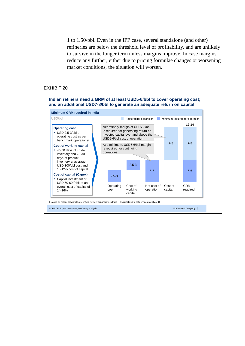1 to 1.50/bbl. Even in the IPP case, several standalone (and other) refineries are below the threshold level of profitability, and are unlikely to survive in the longer term unless margins improve. In case margins reduce any further, either due to pricing formulae changes or worsening market conditions, the situation will worsen.

#### EXHIBIT 20

#### **Indian refiners need a GRM of at least USD5-6/bbl to cover operating cost; and an additional USD7-8/bbl to generate an adequate return on capital**



SOURCE: Expert interviews; McKinsey analysis 1 Based on recent brownfield, greenfield refinery expansions in India 2 Normalized to refinery complexity of 10

McKinsey & Company |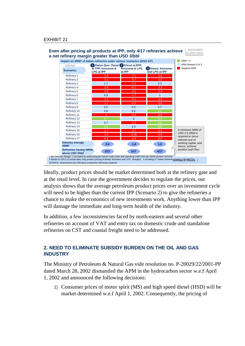

Ideally, product prices should be market determined both at the refinery gate and at the retail level. In case the government decides to regulate the prices, our analysis shows that the average petroleum product prices over an investment cycle will need to be higher than the current IPP (Scenario 2) to give the refineries a chance to make the economics of new investments work. Anything lower than IPP will damage the immediate and long-term health of the industry.

In addition, a few inconsistencies faced by north-eastern and several other refineries on account of VAT and entry tax on domestic crude and standalone refineries on CST and coastal freight need to be addressed.

## **2. NEED TO ELIMINATE SUBSIDY BURDEN ON THE OIL AND GAS INDUSTRY**

The Ministry of Petroleum & Natural Gas vide resolution no. P-20029/22/2001-PP dated March 28, 2002 dismantled the APM in the hydrocarbon sector w.e.f April 1, 2002 and announced the following decisions:

1) Consumer prices of motor spirit (MS) and high speed diesel (HSD) will be market determined w.e.f April 1, 2002. Consequently, the pricing of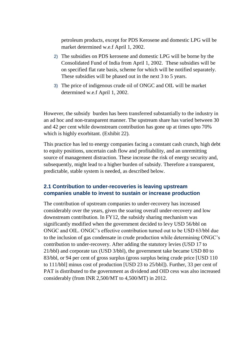petroleum products, except for PDS Kerosene and domestic LPG will be market determined w.e.f April 1, 2002.

- 2) The subsidies on PDS kerosene and domestic LPG will be borne by the Consolidated Fund of India from April 1, 2002. These subsidies will be on specified flat rate basis, scheme for which will be notified separately. These subsidies will be phased out in the next 3 to 5 years.
- 3) The price of indigenous crude oil of ONGC and OIL will be market determined w.e.f April 1, 2002.

However, the subsidy burden has been transferred substantially to the industry in an ad hoc and non-transparent manner. The upstream share has varied between 30 and 42 per cent while downstream contribution has gone up at times upto 70% which is highly exorbitant. (Exhibit 22).

This practice has led to energy companies facing a constant cash crunch, high debt to equity positions, uncertain cash flow and profitability, and an unremitting source of management distraction. These increase the risk of energy security and, subsequently, might lead to a higher burden of subsidy. Therefore a transparent, predictable, stable system is needed, as described below.

## **2.1 Contribution to under-recoveries is leaving upstream companies unable to invest to sustain or increase production**

The contribution of upstream companies to under-recovery has increased considerably over the years, given the soaring overall under-recovery and low downstream contribution. In FY12, the subsidy sharing mechanism was significantly modified when the government decided to levy USD 56/bbl on ONGC and OIL. ONGC's effective contribution turned out to be USD 63/bbl due to the inclusion of gas condensate in crude production while determining ONGC's contribution to under-recovery. After adding the statutory levies (USD 17 to 21/bbl) and corporate tax (USD 3/bbl), the government take became USD 80 to 83/bbl, or 94 per cent of gross surplus (gross surplus being crude price [USD 110 to 111/bbl] minus cost of production [USD 23 to 25/bbl]). Further, 33 per cent of PAT is distributed to the government as dividend and OID cess was also increased considerably (from INR 2,500/MT to 4,500/MT) in 2012.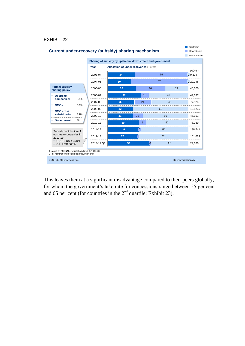

This leaves them at a significant disadvantage compared to their peers globally, for whom the government's take rate for concessions range between 55 per cent and 65 per cent (for countries in the  $2<sup>nd</sup>$  quartile; Exhibit 23).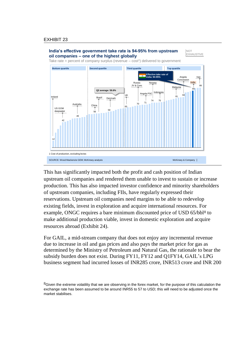

This has significantly impacted both the profit and cash position of Indian upstream oil companies and rendered them unable to invest to sustain or increase production. This has also impacted investor confidence and minority shareholders of upstream companies, including FIIs, have regularly expressed their reservations. Upstream oil companies need margins to be able to redevelop existing fields, invest in exploration and acquire international resources. For example, ONGC requires a bare minimum discounted price of USD 65/bbl<sup>8</sup> to make additional production viable, invest in domestic exploration and acquire resources abroad (Exhibit 24).

For GAIL, a mid-stream company that does not enjoy any incremental revenue due to increase in oil and gas prices and also pays the market price for gas as determined by the Ministry of Petroleum and Natural Gas, the rationale to bear the subsidy burden does not exist. During FY11, FY12 and Q1FY14, GAIL's LPG business segment had incurred losses of INR285 crore, INR513 crore and INR 200

<sup>&</sup>lt;sup>8</sup>Given the extreme volatility that we are observing in the forex market, for the purpose of this calculation the exchange rate has been assumed to be around INR55 to 57 to USD; this will need to be adjusted once the market stabilises.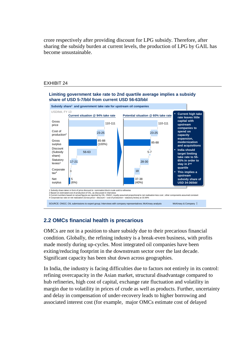crore respectively after providing discount for LPG subsidy. Therefore, after sharing the subsidy burden at current levels, the production of LPG by GAIL has become unsustainable.

#### EXHIBIT 24



## **2.2 OMCs financial health is precarious**

OMCs are not in a position to share subsidy due to their precarious financial condition. Globally, the refining industry is a break-even business, with profits made mostly during up-cycles. Most integrated oil companies have been exiting/reducing footprint in the downstream sector over the last decade. Significant capacity has been shut down across geographies.

In India, the industry is facing difficulties due to factors not entirely in its control: refining overcapacity in the Asian market, structural disadvantage compared to hub refineries, high cost of capital, exchange rate fluctuation and volatility in margin due to volatility in prices of crude as well as products. Further, uncertainty and delay in compensation of under-recovery leads to higher borrowing and associated interest cost (for example, major OMCs estimate cost of delayed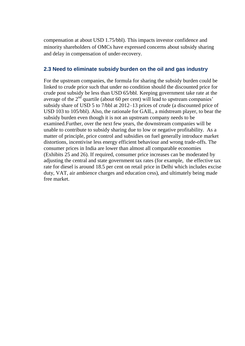compensation at about USD 1.75/bbl). This impacts investor confidence and minority shareholders of OMCs have expressed concerns about subsidy sharing and delay in compensation of under-recovery.

## **2.3 Need to eliminate subsidy burden on the oil and gas industry**

For the upstream companies, the formula for sharing the subsidy burden could be linked to crude price such that under no condition should the discounted price for crude post subsidy be less than USD 65/bbl. Keeping government take rate at the average of the  $2<sup>nd</sup>$  quartile (about 60 per cent) will lead to upstream companies' subsidy share of USD 5 to 7/bbl at 2012–13 prices of crude (a discounted price of USD 103 to 105/bbl). Also, the rationale for GAIL, a midstream player, to bear the subsidy burden even though it is not an upstream company needs to be examined.Further, over the next few years, the downstream companies will be unable to contribute to subsidy sharing due to low or negative profitability. As a matter of principle, price control and subsidies on fuel generally introduce market distortions, incentivise less energy efficient behaviour and wrong trade-offs. The consumer prices in India are lower than almost all comparable economies (Exhibits 25 and 26). If required, consumer price increases can be moderated by adjusting the central and state government tax rates (for example, the effective tax rate for diesel is around 18.5 per cent on retail price in Delhi which includes excise duty, VAT, air ambience charges and education cess), and ultimately being made free market.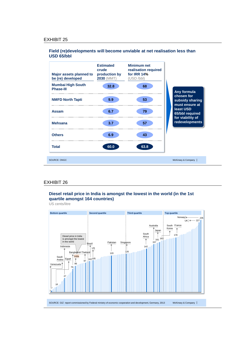#### **Field (re)developments will become unviable at net realisation less than USD 65/bbl**



#### EXHIBIT 26

#### **Diesel retail price in India is amongst the lowest in the world (in the 1st quartile amongst 164 countries)**

US cents/litre

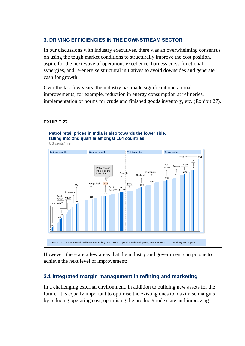## **3. DRIVING EFFICIENCIES IN THE DOWNSTREAM SECTOR**

In our discussions with industry executives, there was an overwhelming consensus on using the tough market conditions to structurally improve the cost position, aspire for the next wave of operations excellence, harness cross-functional synergies, and re-energise structural initiatives to avoid downsides and generate cash for growth.

Over the last few years, the industry has made significant operational improvements, for example, reduction in energy consumption at refineries, implementation of norms for crude and finished goods inventory, etc. (Exhibit 27).

#### EXHIBIT 27



However, there are a few areas that the industry and government can pursue to achieve the next level of improvement:

## **3.1 Integrated margin management in refining and marketing**

In a challenging external environment, in addition to building new assets for the future, it is equally important to optimise the existing ones to maximise margins by reducing operating cost, optimising the product/crude slate and improving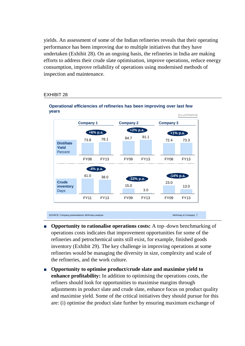yields. An assessment of some of the Indian refineries reveals that their operating performance has been improving due to multiple initiatives that they have undertaken (Exhibit 28). On an ongoing basis, the refineries in India are making efforts to address their crude slate optimisation, improve operations, reduce energy consumption, improve reliability of operations using modernised methods of inspection and maintenance.

#### EXHIBIT 28



#### **Operational efficiencies of refineries has been improving over last few years**

SOURCE: Company presentations; McKinsey analysis

McKinsey & Company |

- **Opportunity to rationalise operations costs:** A top–down benchmarking of operations costs indicates that improvement opportunities for some of the refineries and petrochemical units still exist, for example, finished goods inventory (Exhibit 29). The key challenge in improving operations at some refineries would be managing the diversity in size, complexity and scale of the refineries, and the work culture.
- **Opportunity to optimise product/crude slate and maximise yield to enhance profitability:** In addition to optimising the operations costs, the refiners should look for opportunities to maximise margins through adjustments in product slate and crude slate, enhance focus on product quality and maximise yield. Some of the critical initiatives they should pursue for this are: (i) optimise the product slate further by ensuring maximum exchange of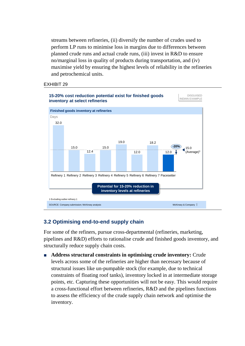streams between refineries, (ii) diversify the number of crudes used to perform LP runs to minimise loss in margins due to differences between planned crude runs and actual crude runs, (iii) invest in R&D to ensure no/marginal loss in quality of products during transportation, and (iv) maximise yield by ensuring the highest levels of reliability in the refineries and petrochemical units.

#### EXHIBIT 29



## **3.2 Optimising end-to-end supply chain**

For some of the refiners, pursue cross-departmental (refineries, marketing, pipelines and R&D) efforts to rationalise crude and finished goods inventory, and structurally reduce supply chain costs.

■ **Address structural constraints in optimising crude inventory:** Crude levels across some of the refineries are higher than necessary because of structural issues like un-pumpable stock (for example, due to technical constraints of floating roof tanks), inventory locked in at intermediate storage points, etc. Capturing these opportunities will not be easy. This would require a cross-functional effort between refineries, R&D and the pipelines functions to assess the efficiency of the crude supply chain network and optimise the inventory.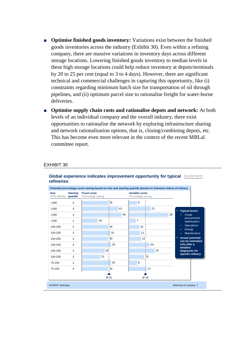- **Optimise finished goods inventory:** Variations exist between the finished goods inventories across the industry (Exhibit 30). Even within a refining company, there are massive variations in inventory days across different storage locations. Lowering finished goods inventory to median levels in these high storage locations could help reduce inventory at depots/terminals by 20 to 25 per cent (equal to 3 to 4 days). However, there are significant technical and commercial challenges in capturing this opportunity, like (i) constraints regarding minimum batch size for transportation of oil through pipelines, and (ii) optimum parcel size to rationalise freight for water-borne deliveries.
- **Optimise supply chain costs and rationalise depots and network:** At both levels of an individual company and the overall industry, there exist opportunities to rationalise the network by exploring infrastructure sharing and network rationalisation options, that is, closing/combining depots, etc. This has become even more relevant in the context of the recent MBLal committee report.

#### EXHIBIT 30



#### **Global experience indicates improvement opportunity for typical CLIENT DATA refineries**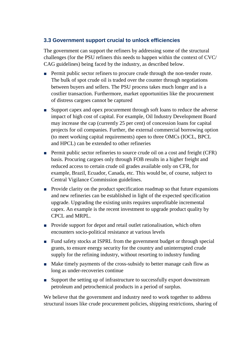## **3.3 Government support crucial to unlock efficiencies**

The government can support the refiners by addressing some of the structural challenges (for the PSU refiners this needs to happen within the context of CVC/ CAG guidelines) being faced by the industry, as described below.

- Permit public sector refiners to procure crude through the non-tender route. The bulk of spot crude oil is traded over the counter through negotiations between buyers and sellers. The PSU process takes much longer and is a costlier transaction. Furthermore, market opportunities like the procurement of distress cargoes cannot be captured
- Support capex and opex procurement through soft loans to reduce the adverse impact of high cost of capital. For example, Oil Industry Development Board may increase the cap (currently 25 per cent) of concession loans for capital projects for oil companies. Further, the external commercial borrowing option (to meet working capital requirements) open to three OMCs (IOCL, BPCL and HPCL) can be extended to other refineries
- Permit public sector refineries to source crude oil on a cost and freight (CFR) basis. Procuring cargoes only through FOB results in a higher freight and reduced access to certain crude oil grades available only on CFR, for example, Brazil, Ecuador, Canada, etc. This would be, of course, subject to Central Vigilance Commission guidelines.
- Provide clarity on the product specification roadmap so that future expansions and new refineries can be established in light of the expected specification upgrade. Upgrading the existing units requires unprofitable incremental capex. An example is the recent investment to upgrade product quality by CPCL and MRPL.
- Provide support for depot and retail outlet rationalisation, which often encounters socio-political resistance at various levels
- Fund safety stocks at ISPRL from the government budget or through special grants, to ensure energy security for the country and uninterrupted crude supply for the refining industry, without resorting to industry funding
- Make timely payments of the cross-subsidy to better manage cash flow as long as under-recoveries continue
- Support the setting up of infrastructure to successfully export downstream petroleum and petrochemical products in a period of surplus.

We believe that the government and industry need to work together to address structural issues like crude procurement policies, shipping restrictions, sharing of